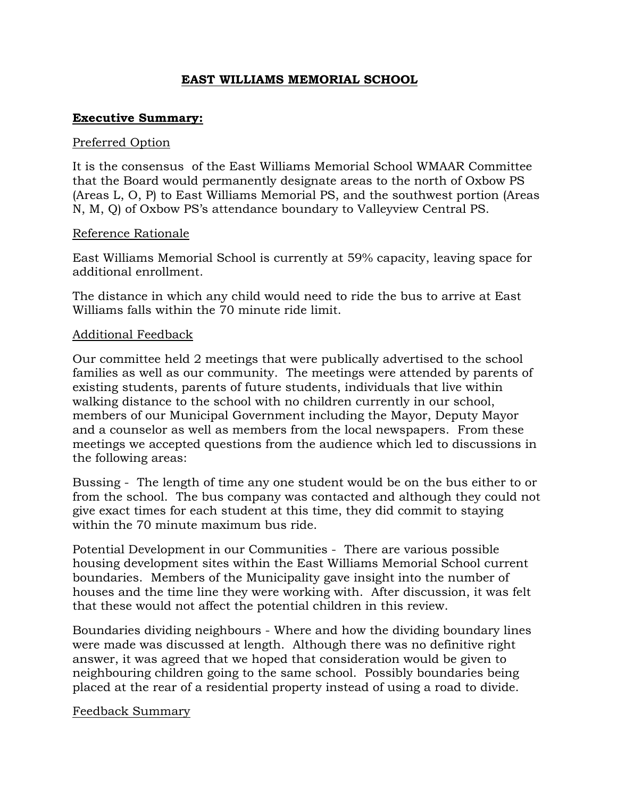# **EAST WILLIAMS MEMORIAL SCHOOL**

## **Executive Summary:**

### Preferred Option

It is the consensus of the East Williams Memorial School WMAAR Committee that the Board would permanently designate areas to the north of Oxbow PS (Areas L, O, P) to East Williams Memorial PS, and the southwest portion (Areas N, M, Q) of Oxbow PS's attendance boundary to Valleyview Central PS.

### Reference Rationale

East Williams Memorial School is currently at 59% capacity, leaving space for additional enrollment.

The distance in which any child would need to ride the bus to arrive at East Williams falls within the 70 minute ride limit.

## Additional Feedback

Our committee held 2 meetings that were publically advertised to the school families as well as our community. The meetings were attended by parents of existing students, parents of future students, individuals that live within walking distance to the school with no children currently in our school, members of our Municipal Government including the Mayor, Deputy Mayor and a counselor as well as members from the local newspapers. From these meetings we accepted questions from the audience which led to discussions in the following areas:

Bussing - The length of time any one student would be on the bus either to or from the school. The bus company was contacted and although they could not give exact times for each student at this time, they did commit to staying within the 70 minute maximum bus ride.

Potential Development in our Communities - There are various possible housing development sites within the East Williams Memorial School current boundaries. Members of the Municipality gave insight into the number of houses and the time line they were working with. After discussion, it was felt that these would not affect the potential children in this review.

Boundaries dividing neighbours - Where and how the dividing boundary lines were made was discussed at length. Although there was no definitive right answer, it was agreed that we hoped that consideration would be given to neighbouring children going to the same school. Possibly boundaries being placed at the rear of a residential property instead of using a road to divide.

#### Feedback Summary